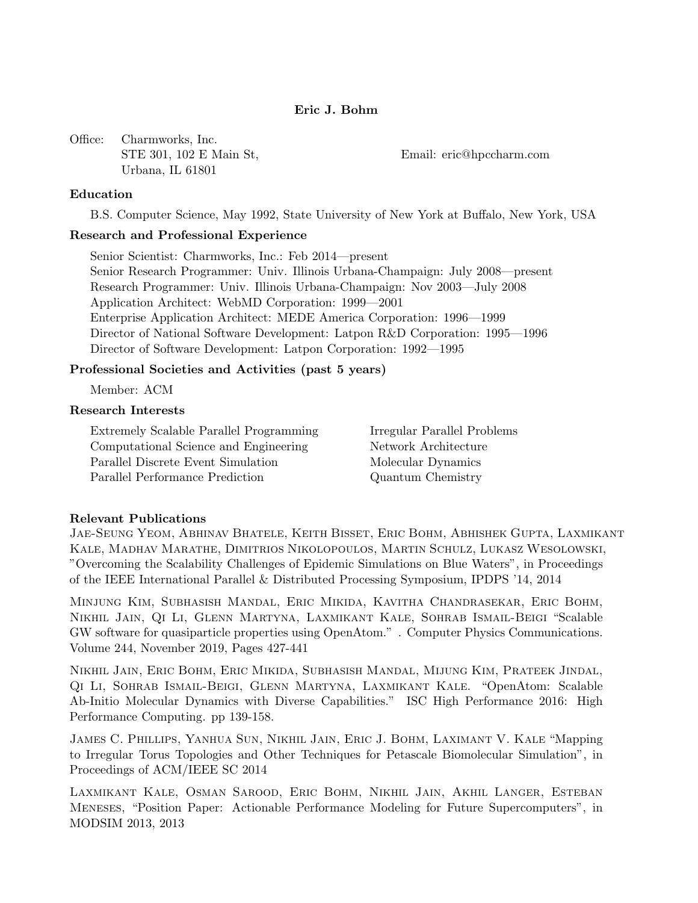# Eric J. Bohm

Office: Charmworks, Inc. Urbana, IL 61801

STE 301, 102 E Main St, Email: eric@hpccharm.com

### Education

B.S. Computer Science, May 1992, State University of New York at Buffalo, New York, USA

## Research and Professional Experience

Senior Scientist: Charmworks, Inc.: Feb 2014—present Senior Research Programmer: Univ. Illinois Urbana-Champaign: July 2008—present Research Programmer: Univ. Illinois Urbana-Champaign: Nov 2003—July 2008 Application Architect: WebMD Corporation: 1999—2001 Enterprise Application Architect: MEDE America Corporation: 1996—1999 Director of National Software Development: Latpon R&D Corporation: 1995—1996 Director of Software Development: Latpon Corporation: 1992—1995

### Professional Societies and Activities (past 5 years)

Member: ACM

### Research Interests

Extremely Scalable Parallel Programming Irregular Parallel Problems Computational Science and Engineering Network Architecture Parallel Discrete Event Simulation Molecular Dynamics Parallel Performance Prediction Quantum Chemistry

#### Relevant Publications

Jae-Seung Yeom, Abhinav Bhatele, Keith Bisset, Eric Bohm, Abhishek Gupta, Laxmikant Kale, Madhav Marathe, Dimitrios Nikolopoulos, Martin Schulz, Lukasz Wesolowski, "Overcoming the Scalability Challenges of Epidemic Simulations on Blue Waters", in Proceedings of the IEEE International Parallel & Distributed Processing Symposium, IPDPS '14, 2014

Minjung Kim, Subhasish Mandal, Eric Mikida, Kavitha Chandrasekar, Eric Bohm, Nikhil Jain, Qi Li, Glenn Martyna, Laxmikant Kale, Sohrab Ismail-Beigi "Scalable GW software for quasiparticle properties using OpenAtom." . Computer Physics Communications. Volume 244, November 2019, Pages 427-441

Nikhil Jain, Eric Bohm, Eric Mikida, Subhasish Mandal, Mijung Kim, Prateek Jindal, Qi Li, Sohrab Ismail-Beigi, Glenn Martyna, Laxmikant Kale. "OpenAtom: Scalable Ab-Initio Molecular Dynamics with Diverse Capabilities." ISC High Performance 2016: High Performance Computing. pp 139-158.

James C. Phillips, Yanhua Sun, Nikhil Jain, Eric J. Bohm, Laximant V. Kale "Mapping to Irregular Torus Topologies and Other Techniques for Petascale Biomolecular Simulation", in Proceedings of ACM/IEEE SC 2014

Laxmikant Kale, Osman Sarood, Eric Bohm, Nikhil Jain, Akhil Langer, Esteban Meneses, "Position Paper: Actionable Performance Modeling for Future Supercomputers", in MODSIM 2013, 2013